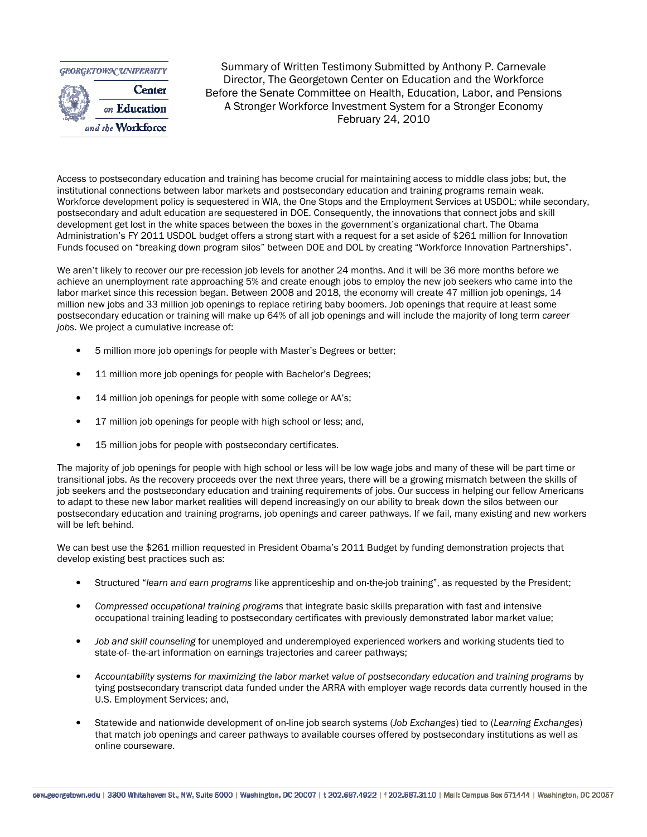

Summary of Written Testimony Submitted by Anthony P. Carnevale Director, The Georgetown Center on Education and the Workforce Before the Senate Committee on Health, Education, Labor, and Pensions A Stronger Workforce Investment System for a Stronger Economy February 24, 2010

Access to postsecondary education and training has become crucial for maintaining access to middle class jobs; but, the institutional connections between labor markets and postsecondary education and training programs remain weak. Workforce development policy is sequestered in WIA, the One Stops and the Employment Services at USDOL; while secondary, postsecondary and adult education are sequestered in DOE. Consequently, the innovations that connect jobs and skill development get lost in the white spaces between the boxes in the government's organizational chart. The Obama Administration's FY 2011 USDOL budget offers a strong start with a request for a set aside of \$261 million for Innovation Funds focused on "breaking down program silos" between DOE and DOL by creating "Workforce Innovation Partnerships".

We aren't likely to recover our pre-recession job levels for another 24 months. And it will be 36 more months before we achieve an unemployment rate approaching 5% and create enough jobs to employ the new job seekers who came into the labor market since this recession began. Between 2008 and 2018, the economy will create 47 million job openings, 14 million new jobs and 33 million job openings to replace retiring baby boomers. Job openings that require at least some postsecondary education or training will make up 64% of all job openings and will include the majority of long term career jobs. We project a cumulative increase of:

- 5 million more job openings for people with Master's Degrees or better;
- 11 million more job openings for people with Bachelor's Degrees;
- 14 million job openings for people with some college or AA's;
- 17 million job openings for people with high school or less; and,
- 15 million jobs for people with postsecondary certificates.

The majority of job openings for people with high school or less will be low wage jobs and many of these will be part time or transitional jobs. As the recovery proceeds over the next three years, there will be a growing mismatch between the skills of job seekers and the postsecondary education and training requirements of jobs. Our success in helping our fellow Americans to adapt to these new labor market realities will depend increasingly on our ability to break down the silos between our postsecondary education and training programs, job openings and career pathways. If we fail, many existing and new workers will be left behind.

We can best use the \$261 million requested in President Obama's 2011 Budget by funding demonstration projects that develop existing best practices such as:

- Structured "learn and earn programs like apprenticeship and on-the-job training", as requested by the President;
- Compressed occupational training programs that integrate basic skills preparation with fast and intensive occupational training leading to postsecondary certificates with previously demonstrated labor market value;
- Job and skill counseling for unemployed and underemployed experienced workers and working students tied to state-of- the-art information on earnings trajectories and career pathways;
- Accountability systems for maximizing the labor market value of postsecondary education and training programs by tying postsecondary transcript data funded under the ARRA with employer wage records data currently housed in the U.S. Employment Services; and,
- Statewide and nationwide development of on-line job search systems (Job Exchanges) tied to (Learning Exchanges) that match job openings and career pathways to available courses offered by postsecondary institutions as well as online courseware.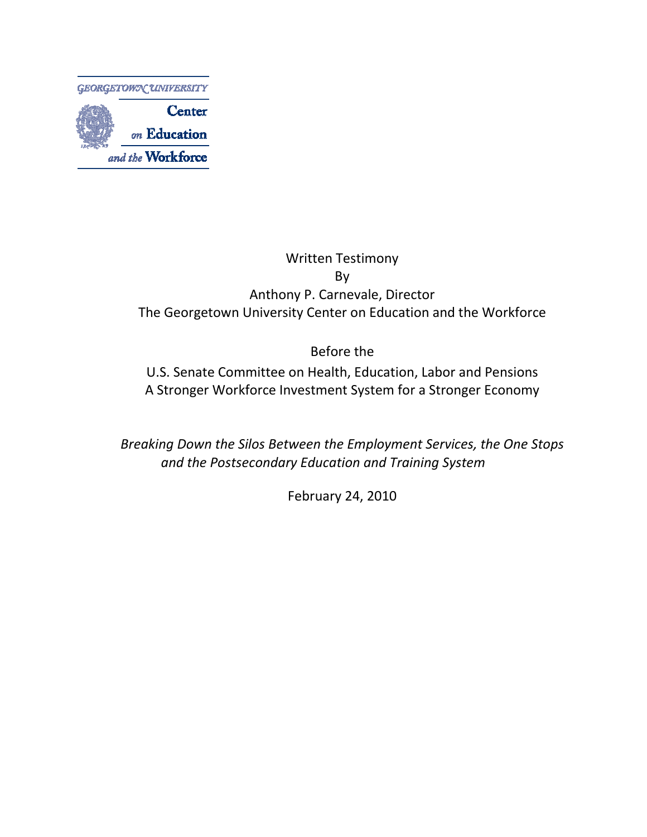

## Written Testimony By Anthony P. Carnevale, Director The Georgetown University Center on Education and the Workforce

Before the

U.S. Senate Committee on Health, Education, Labor and Pensions A Stronger Workforce Investment System for a Stronger Economy

Breaking Down the Silos Between the Employment Services, the One Stops and the Postsecondary Education and Training System

February 24, 2010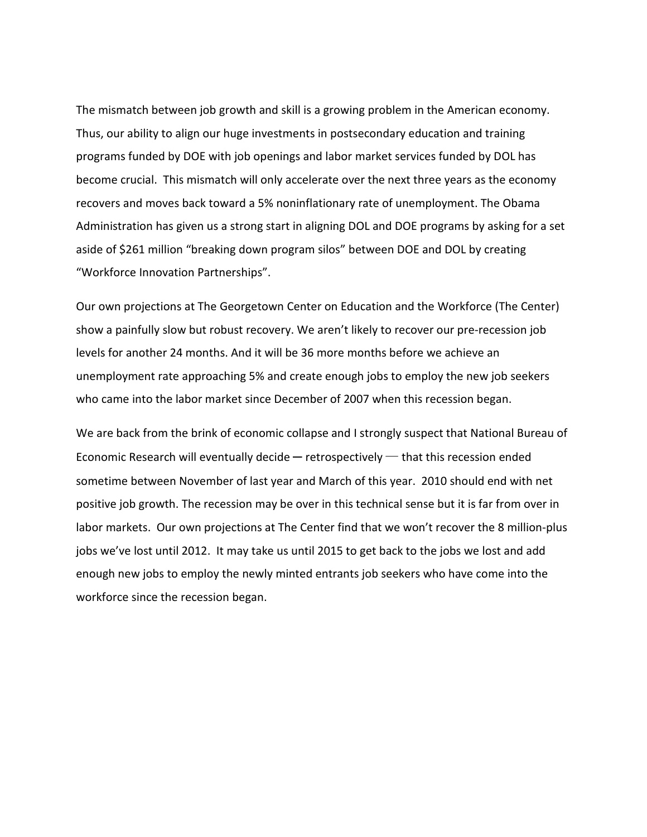The mismatch between job growth and skill is a growing problem in the American economy. Thus, our ability to align our huge investments in postsecondary education and training programs funded by DOE with job openings and labor market services funded by DOL has become crucial. This mismatch will only accelerate over the next three years as the economy recovers and moves back toward a 5% noninflationary rate of unemployment. The Obama Administration has given us a strong start in aligning DOL and DOE programs by asking for a set aside of \$261 million "breaking down program silos" between DOE and DOL by creating "Workforce Innovation Partnerships".

Our own projections at The Georgetown Center on Education and the Workforce (The Center) show a painfully slow but robust recovery. We aren't likely to recover our pre-recession job levels for another 24 months. And it will be 36 more months before we achieve an unemployment rate approaching 5% and create enough jobs to employ the new job seekers who came into the labor market since December of 2007 when this recession began.

We are back from the brink of economic collapse and I strongly suspect that National Bureau of Economic Research will eventually decide  $-$  retrospectively  $-$  that this recession ended sometime between November of last year and March of this year. 2010 should end with net positive job growth. The recession may be over in this technical sense but it is far from over in labor markets. Our own projections at The Center find that we won't recover the 8 million-plus jobs we've lost until 2012. It may take us until 2015 to get back to the jobs we lost and add enough new jobs to employ the newly minted entrants job seekers who have come into the workforce since the recession began.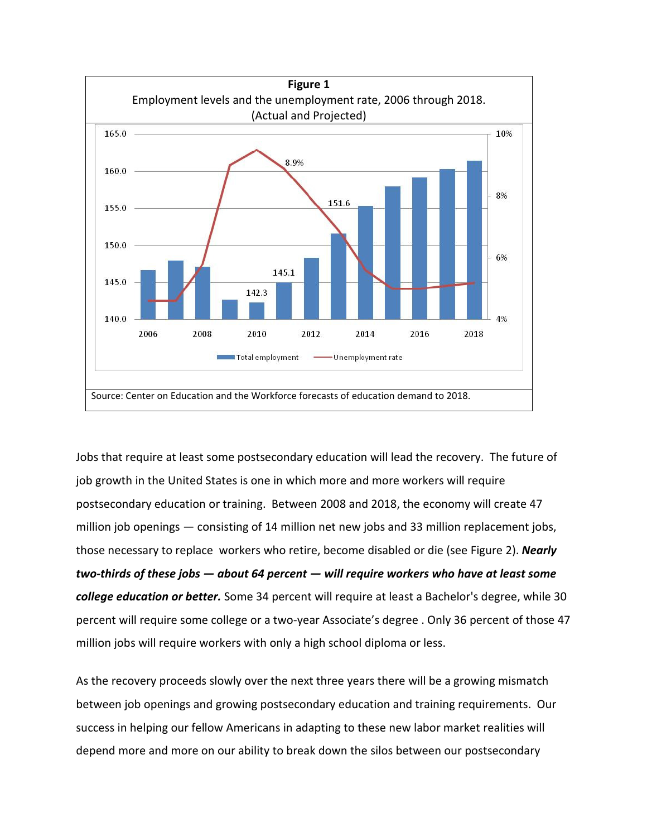

Jobs that require at least some postsecondary education will lead the recovery. The future of job growth in the United States is one in which more and more workers will require postsecondary education or training. Between 2008 and 2018, the economy will create 47 million job openings — consisting of 14 million net new jobs and 33 million replacement jobs, those necessary to replace workers who retire, become disabled or die (see Figure 2). Nearly two-thirds of these jobs — about 64 percent — will require workers who have at least some **college education or better.** Some 34 percent will require at least a Bachelor's degree, while 30 percent will require some college or a two-year Associate's degree . Only 36 percent of those 47 million jobs will require workers with only a high school diploma or less.

As the recovery proceeds slowly over the next three years there will be a growing mismatch between job openings and growing postsecondary education and training requirements. Our success in helping our fellow Americans in adapting to these new labor market realities will depend more and more on our ability to break down the silos between our postsecondary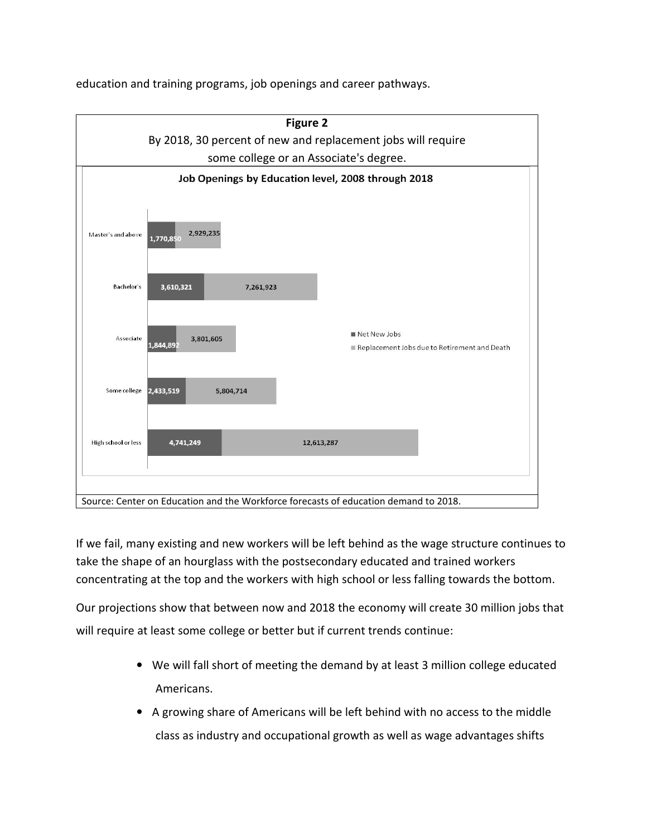education and training programs, job openings and career pathways.



If we fail, many existing and new workers will be left behind as the wage structure continues to take the shape of an hourglass with the postsecondary educated and trained workers concentrating at the top and the workers with high school or less falling towards the bottom.

Our projections show that between now and 2018 the economy will create 30 million jobs that will require at least some college or better but if current trends continue:

- We will fall short of meeting the demand by at least 3 million college educated Americans.
- A growing share of Americans will be left behind with no access to the middle class as industry and occupational growth as well as wage advantages shifts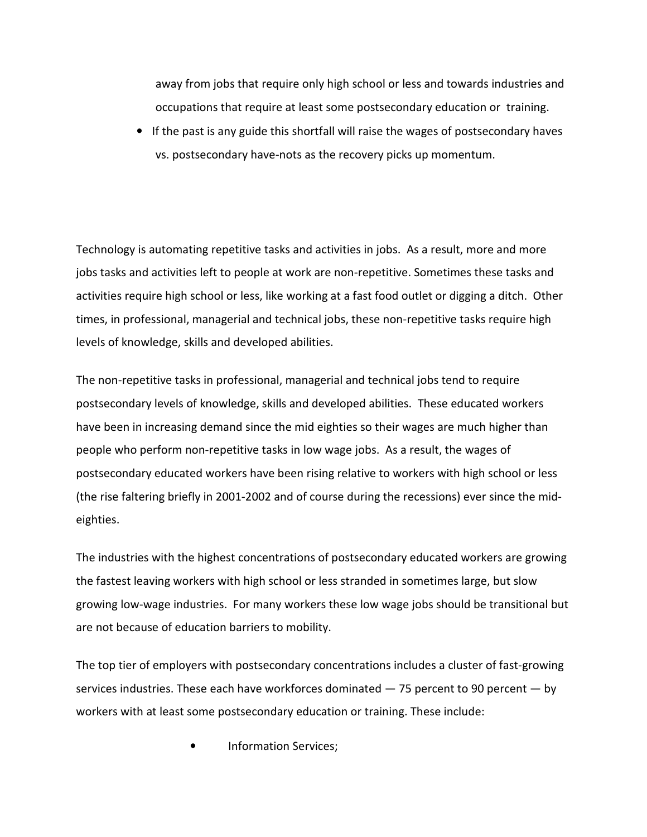away from jobs that require only high school or less and towards industries and occupations that require at least some postsecondary education or training.

• If the past is any guide this shortfall will raise the wages of postsecondary haves vs. postsecondary have-nots as the recovery picks up momentum.

Technology is automating repetitive tasks and activities in jobs. As a result, more and more jobs tasks and activities left to people at work are non-repetitive. Sometimes these tasks and activities require high school or less, like working at a fast food outlet or digging a ditch. Other times, in professional, managerial and technical jobs, these non-repetitive tasks require high levels of knowledge, skills and developed abilities.

The non-repetitive tasks in professional, managerial and technical jobs tend to require postsecondary levels of knowledge, skills and developed abilities. These educated workers have been in increasing demand since the mid eighties so their wages are much higher than people who perform non-repetitive tasks in low wage jobs. As a result, the wages of postsecondary educated workers have been rising relative to workers with high school or less (the rise faltering briefly in 2001-2002 and of course during the recessions) ever since the mideighties.

The industries with the highest concentrations of postsecondary educated workers are growing the fastest leaving workers with high school or less stranded in sometimes large, but slow growing low-wage industries. For many workers these low wage jobs should be transitional but are not because of education barriers to mobility.

The top tier of employers with postsecondary concentrations includes a cluster of fast-growing services industries. These each have workforces dominated  $-75$  percent to 90 percent  $-$  by workers with at least some postsecondary education or training. These include:

• Information Services;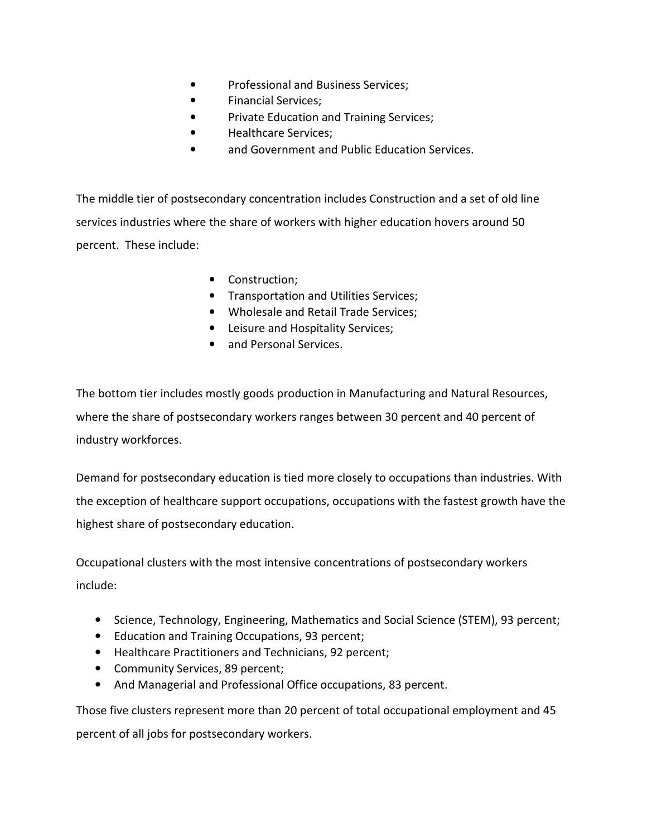- Professional and Business Services;
- Financial Services;
- Private Education and Training Services;
- Healthcare Services;
- and Government and Public Education Services.

The middle tier of postsecondary concentration includes Construction and a set of old line services industries where the share of workers with higher education hovers around 50 percent. These include:

- Construction;
- Transportation and Utilities Services;
- Wholesale and Retail Trade Services;
- Leisure and Hospitality Services;
- and Personal Services.

The bottom tier includes mostly goods production in Manufacturing and Natural Resources, where the share of postsecondary workers ranges between 30 percent and 40 percent of industry workforces.

Demand for postsecondary education is tied more closely to occupations than industries. With the exception of healthcare support occupations, occupations with the fastest growth have the highest share of postsecondary education.

Occupational clusters with the most intensive concentrations of postsecondary workers include:

- Science, Technology, Engineering, Mathematics and Social Science (STEM), 93 percent;
- Education and Training Occupations, 93 percent;
- Healthcare Practitioners and Technicians, 92 percent;
- Community Services, 89 percent;
- And Managerial and Professional Office occupations, 83 percent.

Those five clusters represent more than 20 percent of total occupational employment and 45 percent of all jobs for postsecondary workers.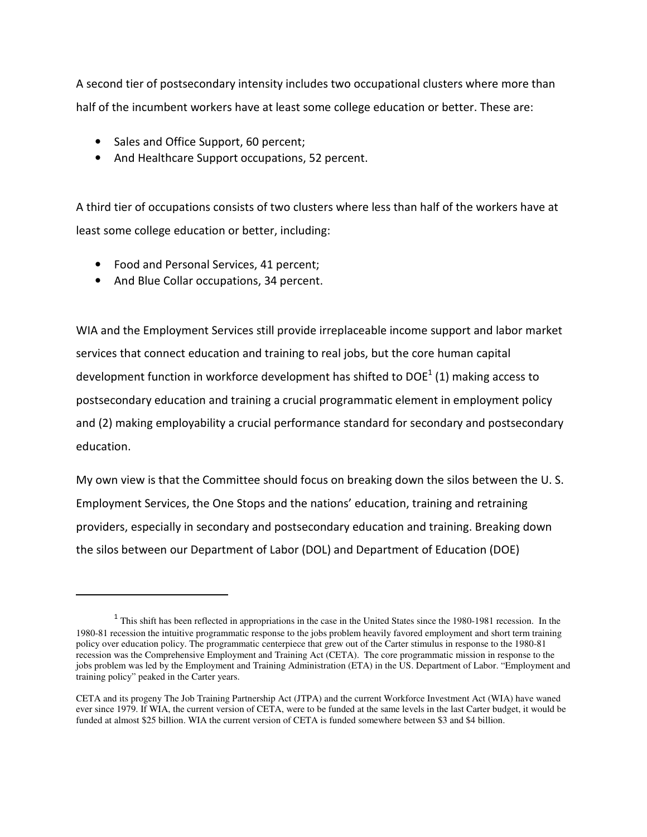A second tier of postsecondary intensity includes two occupational clusters where more than half of the incumbent workers have at least some college education or better. These are:

- Sales and Office Support, 60 percent;
- And Healthcare Support occupations, 52 percent.

A third tier of occupations consists of two clusters where less than half of the workers have at least some college education or better, including:

- Food and Personal Services, 41 percent;
- And Blue Collar occupations, 34 percent.

l

WIA and the Employment Services still provide irreplaceable income support and labor market services that connect education and training to real jobs, but the core human capital development function in workforce development has shifted to DOE<sup>1</sup> (1) making access to postsecondary education and training a crucial programmatic element in employment policy and (2) making employability a crucial performance standard for secondary and postsecondary education.

My own view is that the Committee should focus on breaking down the silos between the U. S. Employment Services, the One Stops and the nations' education, training and retraining providers, especially in secondary and postsecondary education and training. Breaking down the silos between our Department of Labor (DOL) and Department of Education (DOE)

<sup>&</sup>lt;sup>1</sup> This shift has been reflected in appropriations in the case in the United States since the 1980-1981 recession. In the 1980-81 recession the intuitive programmatic response to the jobs problem heavily favored employment and short term training policy over education policy. The programmatic centerpiece that grew out of the Carter stimulus in response to the 1980-81 recession was the Comprehensive Employment and Training Act (CETA). The core programmatic mission in response to the jobs problem was led by the Employment and Training Administration (ETA) in the US. Department of Labor. "Employment and training policy" peaked in the Carter years.

CETA and its progeny The Job Training Partnership Act (JTPA) and the current Workforce Investment Act (WIA) have waned ever since 1979. If WIA, the current version of CETA, were to be funded at the same levels in the last Carter budget, it would be funded at almost \$25 billion. WIA the current version of CETA is funded somewhere between \$3 and \$4 billion.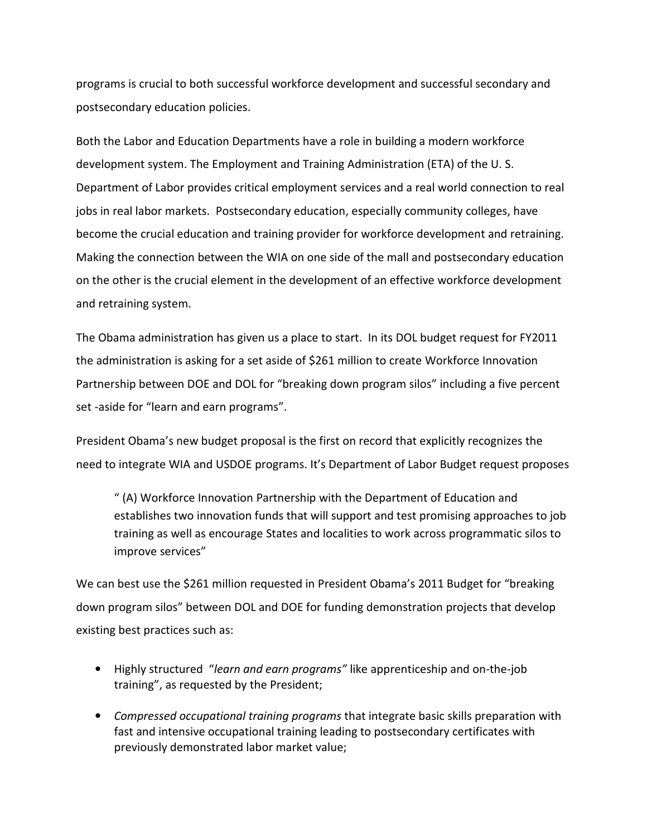programs is crucial to both successful workforce development and successful secondary and postsecondary education policies.

Both the Labor and Education Departments have a role in building a modern workforce development system. The Employment and Training Administration (ETA) of the U. S. Department of Labor provides critical employment services and a real world connection to real jobs in real labor markets. Postsecondary education, especially community colleges, have become the crucial education and training provider for workforce development and retraining. Making the connection between the WIA on one side of the mall and postsecondary education on the other is the crucial element in the development of an effective workforce development and retraining system.

The Obama administration has given us a place to start. In its DOL budget request for FY2011 the administration is asking for a set aside of \$261 million to create Workforce Innovation Partnership between DOE and DOL for "breaking down program silos" including a five percent set -aside for "learn and earn programs".

President Obama's new budget proposal is the first on record that explicitly recognizes the need to integrate WIA and USDOE programs. It's Department of Labor Budget request proposes

" (A) Workforce Innovation Partnership with the Department of Education and establishes two innovation funds that will support and test promising approaches to job training as well as encourage States and localities to work across programmatic silos to improve services"

We can best use the \$261 million requested in President Obama's 2011 Budget for "breaking down program silos" between DOL and DOE for funding demonstration projects that develop existing best practices such as:

- Highly structured "learn and earn programs" like apprenticeship and on-the-job training", as requested by the President;
- Compressed occupational training programs that integrate basic skills preparation with fast and intensive occupational training leading to postsecondary certificates with previously demonstrated labor market value;